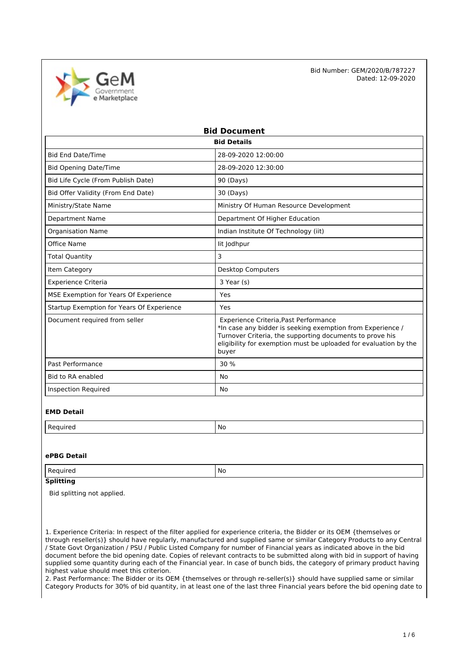

| <b>Bid Document</b>                       |                                                                                                                                                                                                                                              |  |  |  |
|-------------------------------------------|----------------------------------------------------------------------------------------------------------------------------------------------------------------------------------------------------------------------------------------------|--|--|--|
| <b>Bid Details</b>                        |                                                                                                                                                                                                                                              |  |  |  |
| <b>Bid End Date/Time</b>                  | 28-09-2020 12:00:00                                                                                                                                                                                                                          |  |  |  |
| <b>Bid Opening Date/Time</b>              | 28-09-2020 12:30:00                                                                                                                                                                                                                          |  |  |  |
| Bid Life Cycle (From Publish Date)        | 90 (Days)                                                                                                                                                                                                                                    |  |  |  |
| Bid Offer Validity (From End Date)        | 30 (Days)                                                                                                                                                                                                                                    |  |  |  |
| Ministry/State Name                       | Ministry Of Human Resource Development                                                                                                                                                                                                       |  |  |  |
| <b>Department Name</b>                    | Department Of Higher Education                                                                                                                                                                                                               |  |  |  |
| <b>Organisation Name</b>                  | Indian Institute Of Technology (iit)                                                                                                                                                                                                         |  |  |  |
| Office Name                               | lit Jodhpur                                                                                                                                                                                                                                  |  |  |  |
| <b>Total Quantity</b>                     | 3                                                                                                                                                                                                                                            |  |  |  |
| Item Category                             | <b>Desktop Computers</b>                                                                                                                                                                                                                     |  |  |  |
| <b>Experience Criteria</b>                | 3 Year (s)                                                                                                                                                                                                                                   |  |  |  |
| MSE Exemption for Years Of Experience     | Yes                                                                                                                                                                                                                                          |  |  |  |
| Startup Exemption for Years Of Experience | Yes                                                                                                                                                                                                                                          |  |  |  |
| Document required from seller             | Experience Criteria, Past Performance<br>*In case any bidder is seeking exemption from Experience /<br>Turnover Criteria, the supporting documents to prove his<br>eligibility for exemption must be uploaded for evaluation by the<br>buyer |  |  |  |
| Past Performance                          | 30 %                                                                                                                                                                                                                                         |  |  |  |
| Bid to RA enabled                         | No                                                                                                                                                                                                                                           |  |  |  |
| <b>Inspection Required</b>                | No                                                                                                                                                                                                                                           |  |  |  |

#### **EMD Detail**

|--|

## **ePBG Detail**

| Regu<br>م ہے۔<br>' No<br>uncu |  |  |
|-------------------------------|--|--|
|-------------------------------|--|--|

# **Splitting**

Bid splitting not applied.

1. Experience Criteria: In respect of the filter applied for experience criteria, the Bidder or its OEM {themselves or through reseller(s)} should have regularly, manufactured and supplied same or similar Category Products to any Central / State Govt Organization / PSU / Public Listed Company for number of Financial years as indicated above in the bid document before the bid opening date. Copies of relevant contracts to be submitted along with bid in support of having supplied some quantity during each of the Financial year. In case of bunch bids, the category of primary product having highest value should meet this criterion.

2. Past Performance: The Bidder or its OEM {themselves or through re-seller(s)} should have supplied same or similar Category Products for 30% of bid quantity, in at least one of the last three Financial years before the bid opening date to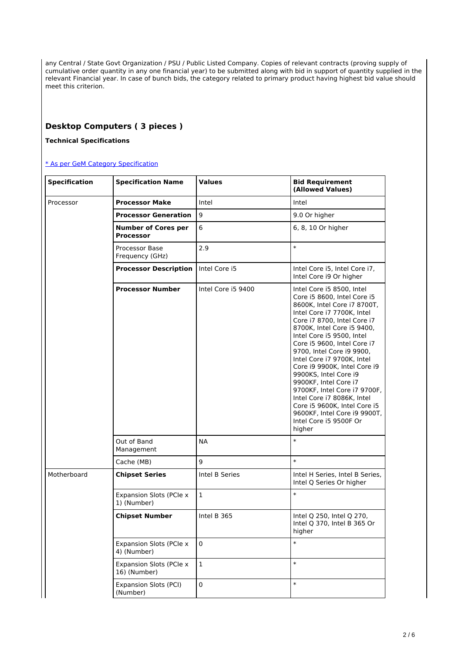any Central / State Govt Organization / PSU / Public Listed Company. Copies of relevant contracts (proving supply of cumulative order quantity in any one financial year) to be submitted along with bid in support of quantity supplied in the relevant Financial year. In case of bunch bids, the category related to primary product having highest bid value should meet this criterion.

# **Desktop Computers ( 3 pieces )**

## **Technical Specifications**

#### [\\* As per GeM Category Specification](https://bidplus.gem.gov.in/bidding/bid/showCatalogue/88GYfQ5BeaqDTxanLAk90KqUTFEoDip2hJO2VP2I6Iw)

| <b>Specification</b> | <b>Specification Name</b>                      | <b>Values</b>      | <b>Bid Requirement</b><br>(Allowed Values)                                                                                                                                                                                                                                                                                                                                                                                                                                                                                                                    |
|----------------------|------------------------------------------------|--------------------|---------------------------------------------------------------------------------------------------------------------------------------------------------------------------------------------------------------------------------------------------------------------------------------------------------------------------------------------------------------------------------------------------------------------------------------------------------------------------------------------------------------------------------------------------------------|
| Processor            | <b>Processor Make</b>                          | Intel              | Intel                                                                                                                                                                                                                                                                                                                                                                                                                                                                                                                                                         |
|                      | <b>Processor Generation</b>                    | 9                  | 9.0 Or higher                                                                                                                                                                                                                                                                                                                                                                                                                                                                                                                                                 |
|                      | <b>Number of Cores per</b><br><b>Processor</b> | 6                  | 6, 8, 10 Or higher                                                                                                                                                                                                                                                                                                                                                                                                                                                                                                                                            |
|                      | Processor Base<br>Frequency (GHz)              | 2.9                | $\ast$                                                                                                                                                                                                                                                                                                                                                                                                                                                                                                                                                        |
|                      | <b>Processor Description</b>                   | Intel Core i5      | Intel Core i5, Intel Core i7,<br>Intel Core i9 Or higher                                                                                                                                                                                                                                                                                                                                                                                                                                                                                                      |
|                      | <b>Processor Number</b>                        | Intel Core i5 9400 | Intel Core i5 8500, Intel<br>Core i5 8600, Intel Core i5<br>8600K, Intel Core i7 8700T,<br>Intel Core i7 7700K, Intel<br>Core i7 8700, Intel Core i7<br>8700K, Intel Core i5 9400,<br>Intel Core i5 9500, Intel<br>Core i5 9600, Intel Core i7<br>9700, Intel Core i9 9900,<br>Intel Core i7 9700K, Intel<br>Core i9 9900K, Intel Core i9<br>9900KS, Intel Core i9<br>9900KF, Intel Core i7<br>9700KF, Intel Core i7 9700F,<br>Intel Core i7 8086K, Intel<br>Core i5 9600K, Intel Core i5<br>9600KF, Intel Core i9 9900T,<br>Intel Core i5 9500F Or<br>higher |
|                      | Out of Band<br>Management                      | <b>NA</b>          | $\ast$                                                                                                                                                                                                                                                                                                                                                                                                                                                                                                                                                        |
|                      | Cache (MB)                                     | 9                  | $\ast$                                                                                                                                                                                                                                                                                                                                                                                                                                                                                                                                                        |
| Motherboard          | <b>Chipset Series</b>                          | Intel B Series     | Intel H Series, Intel B Series,<br>Intel Q Series Or higher                                                                                                                                                                                                                                                                                                                                                                                                                                                                                                   |
|                      | Expansion Slots (PCIe x<br>1) (Number)         | $\mathbf{1}$       | $\ast$                                                                                                                                                                                                                                                                                                                                                                                                                                                                                                                                                        |
|                      | <b>Chipset Number</b>                          | Intel B 365        | Intel Q 250, Intel Q 270,<br>Intel Q 370, Intel B 365 Or<br>higher                                                                                                                                                                                                                                                                                                                                                                                                                                                                                            |
|                      | Expansion Slots (PCIe x<br>4) (Number)         | $\mathbf 0$        | $\ast$                                                                                                                                                                                                                                                                                                                                                                                                                                                                                                                                                        |
|                      | <b>Expansion Slots (PCle x</b><br>16) (Number) | $\mathbf 1$        | $\ast$                                                                                                                                                                                                                                                                                                                                                                                                                                                                                                                                                        |
|                      | <b>Expansion Slots (PCI)</b><br>(Number)       | $\pmb{0}$          | $\ast$                                                                                                                                                                                                                                                                                                                                                                                                                                                                                                                                                        |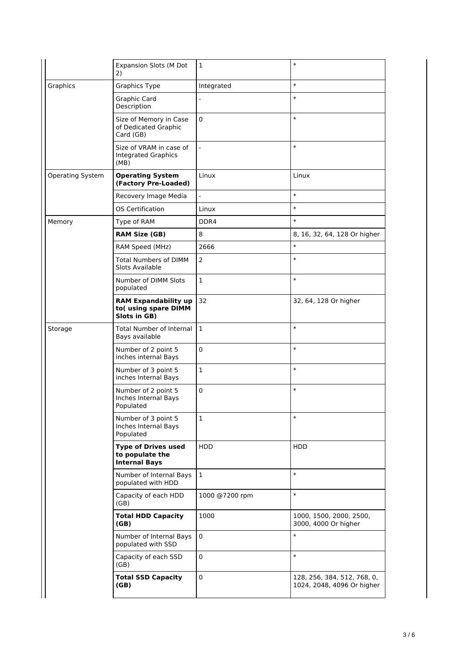|                  | <b>Expansion Slots (M Dot</b><br>2)                                   | 1              | $\ast$                                                    |
|------------------|-----------------------------------------------------------------------|----------------|-----------------------------------------------------------|
| Graphics         | <b>Graphics Type</b>                                                  | Integrated     | $\ast$                                                    |
|                  | Graphic Card<br>Description                                           | $\overline{a}$ | $\ast$                                                    |
|                  | Size of Memory in Case<br>of Dedicated Graphic<br>Card (GB)           | $\mathbf 0$    | $\ast$                                                    |
|                  | Size of VRAM in case of<br><b>Integrated Graphics</b><br>(MB)         |                | $\ast$                                                    |
| Operating System | <b>Operating System</b><br>(Factory Pre-Loaded)                       | Linux          | Linux                                                     |
|                  | Recovery Image Media                                                  |                | $\ast$                                                    |
|                  | <b>OS Certification</b>                                               | Linux          | $\ast$                                                    |
| Memory           | Type of RAM                                                           | DDR4           | $\ast$                                                    |
|                  | <b>RAM Size (GB)</b>                                                  | 8              | 8, 16, 32, 64, 128 Or higher                              |
|                  | RAM Speed (MHz)                                                       | 2666           | $\ast$                                                    |
|                  | <b>Total Numbers of DIMM</b><br>Slots Available                       | 2              | $\ast$                                                    |
|                  | Number of DIMM Slots<br>populated                                     | $\mathbf{1}$   | $\ast$                                                    |
|                  | <b>RAM Expandability up</b><br>to(using spare DIMM<br>Slots in GB)    | 32             | 32, 64, 128 Or higher                                     |
| Storage          | <b>Total Number of Internal</b><br>Bays available                     | $\mathbf{1}$   | $\ast$                                                    |
|                  | Number of 2 point 5<br>inches internal Bays                           | 0              | $\ast$                                                    |
|                  | Number of 3 point 5<br>inches Internal Bays                           | $\mathbf 1$    | $\ast$                                                    |
|                  | Number of 2 point 5<br>Inches Internal Bays<br>Populated              | 0              | $\ast$                                                    |
|                  | Number of 3 point 5<br>Inches Internal Bays<br>Populated              | $\mathbf{1}$   | $\ast$                                                    |
|                  | <b>Type of Drives used</b><br>to populate the<br><b>Internal Bays</b> | <b>HDD</b>     | HDD                                                       |
|                  | Number of Internal Bays<br>populated with HDD                         | $\mathbf{1}$   | $\ast$                                                    |
|                  | Capacity of each HDD<br>(GB)                                          | 1000 @7200 rpm | $\ast$                                                    |
|                  | <b>Total HDD Capacity</b><br>(GB)                                     | 1000           | 1000, 1500, 2000, 2500,<br>3000, 4000 Or higher           |
|                  | Number of Internal Bays<br>populated with SSD                         | $\mathbf 0$    | $\ast$                                                    |
|                  | Capacity of each SSD<br>(GB)                                          | 0              | $\ast$                                                    |
|                  | <b>Total SSD Capacity</b><br>(GB)                                     | 0              | 128, 256, 384, 512, 768, 0,<br>1024, 2048, 4096 Or higher |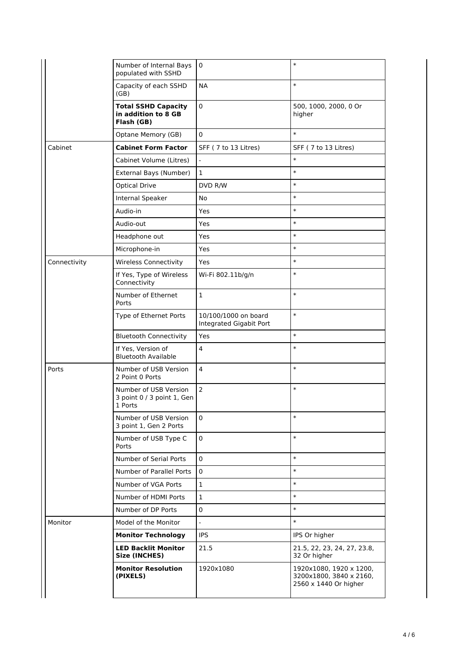|              | Number of Internal Bays<br>populated with SSHD                  | 0                                               | $\ast$                                                                      |
|--------------|-----------------------------------------------------------------|-------------------------------------------------|-----------------------------------------------------------------------------|
|              | Capacity of each SSHD<br>(GB)                                   | <b>NA</b>                                       | $\ast$                                                                      |
|              | <b>Total SSHD Capacity</b><br>in addition to 8 GB<br>Flash (GB) | 0                                               | 500, 1000, 2000, 0 Or<br>higher                                             |
|              | Optane Memory (GB)                                              | 0                                               | $\ast$                                                                      |
| Cabinet      | <b>Cabinet Form Factor</b>                                      | SFF (7 to 13 Litres)                            | SFF (7 to 13 Litres)                                                        |
|              | Cabinet Volume (Litres)                                         | L.                                              | $\ast$                                                                      |
|              | External Bays (Number)                                          | $\mathbf 1$                                     | $\ast$                                                                      |
|              | <b>Optical Drive</b>                                            | DVD R/W                                         | $\ast$                                                                      |
|              | Internal Speaker                                                | No                                              | $\ast$                                                                      |
|              | Audio-in                                                        | Yes                                             | $\ast$                                                                      |
|              | Audio-out                                                       | Yes                                             | $\ast$                                                                      |
|              | Headphone out                                                   | Yes                                             | $\ast$                                                                      |
|              | Microphone-in                                                   | Yes                                             | $\ast$                                                                      |
| Connectivity | <b>Wireless Connectivity</b>                                    | <b>Yes</b>                                      | $\ast$                                                                      |
|              | If Yes, Type of Wireless<br>Connectivity                        | Wi-Fi 802.11b/g/n                               | $\ast$                                                                      |
|              | Number of Ethernet<br>Ports                                     | $\mathbf{1}$                                    | $\ast$                                                                      |
|              | Type of Ethernet Ports                                          | 10/100/1000 on board<br>Integrated Gigabit Port | $\ast$                                                                      |
|              | <b>Bluetooth Connectivity</b>                                   | <b>Yes</b>                                      | $\ast$                                                                      |
|              | If Yes, Version of<br><b>Bluetooth Available</b>                | $\overline{4}$                                  | $\ast$                                                                      |
| Ports        | Number of USB Version<br>2 Point 0 Ports                        | 4                                               | $\ast$                                                                      |
|              | Number of USB Version<br>3 point 0 / 3 point 1, Gen<br>1 Ports  | $\overline{2}$                                  | $\ast$                                                                      |
|              | Number of USB Version<br>3 point 1, Gen 2 Ports                 | 0                                               | $\ast$                                                                      |
|              | Number of USB Type C<br>Ports                                   | 0                                               | $\ast$                                                                      |
|              | Number of Serial Ports                                          | 0                                               | $\ast$                                                                      |
|              | Number of Parallel Ports                                        | 0                                               | $\ast$                                                                      |
|              | Number of VGA Ports                                             | 1                                               | $\ast$                                                                      |
|              | Number of HDMI Ports                                            | $\mathbf{1}$                                    | $\ast$                                                                      |
|              | Number of DP Ports                                              | 0                                               | $\ast$                                                                      |
| Monitor      | Model of the Monitor                                            | $\overline{a}$                                  | $\ast$                                                                      |
|              | <b>Monitor Technology</b>                                       | <b>IPS</b>                                      | IPS Or higher                                                               |
|              | <b>LED Backlit Monitor</b><br><b>Size (INCHES)</b>              | 21.5                                            | 21.5, 22, 23, 24, 27, 23.8,<br>32 Or higher                                 |
|              | <b>Monitor Resolution</b><br>(PIXELS)                           | 1920x1080                                       | 1920x1080, 1920 x 1200,<br>3200x1800, 3840 x 2160,<br>2560 x 1440 Or higher |
|              |                                                                 |                                                 |                                                                             |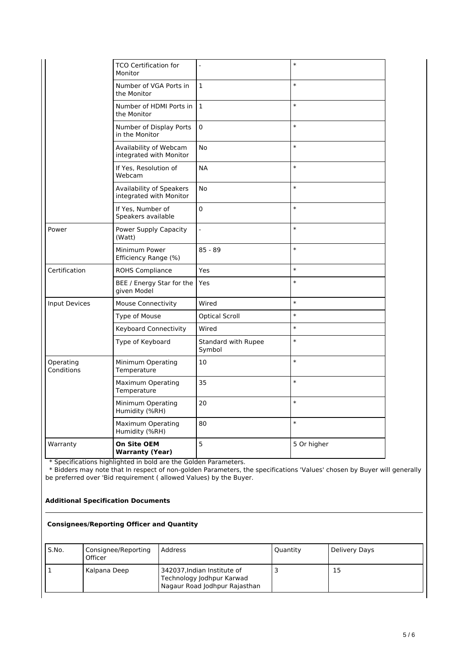|                         | <b>TCO Certification for</b><br>Monitor             | $\overline{a}$                | $\ast$      |
|-------------------------|-----------------------------------------------------|-------------------------------|-------------|
|                         | Number of VGA Ports in<br>the Monitor               | $\mathbf{1}$                  | $\ast$      |
|                         | Number of HDMI Ports in<br>the Monitor              | $\mathbf{1}$                  | $\ast$      |
|                         | Number of Display Ports<br>in the Monitor           | 0                             | $\ast$      |
|                         | Availability of Webcam<br>integrated with Monitor   | No                            | $\ast$      |
|                         | If Yes, Resolution of<br>Webcam                     | <b>NA</b>                     | $\ast$      |
|                         | Availability of Speakers<br>integrated with Monitor | No                            | $\ast$      |
|                         | If Yes, Number of<br>Speakers available             | 0                             | $\ast$      |
| Power                   | Power Supply Capacity<br>(Watt)                     | $\overline{a}$                | $\ast$      |
|                         | Minimum Power<br>Efficiency Range (%)               | $85 - 89$                     | $\ast$      |
| Certification           | <b>ROHS Compliance</b>                              | Yes                           | $\ast$      |
|                         | BEE / Energy Star for the<br>given Model            | Yes                           | $\ast$      |
| <b>Input Devices</b>    | <b>Mouse Connectivity</b>                           | Wired                         | $\ast$      |
|                         | Type of Mouse                                       | <b>Optical Scroll</b>         | $\ast$      |
|                         | Keyboard Connectivity                               | Wired                         | $\ast$      |
|                         | Type of Keyboard                                    | Standard with Rupee<br>Symbol | $\ast$      |
| Operating<br>Conditions | Minimum Operating<br>Temperature                    | 10                            | $\ast$      |
|                         | Maximum Operating<br>Temperature                    | 35                            | $\ast$      |
|                         | Minimum Operating<br>Humidity (%RH)                 | 20                            | $\ast$      |
|                         | Maximum Operating<br>Humidity (%RH)                 | 80                            | $\ast$      |
| Warranty                | On Site OEM<br><b>Warranty (Year)</b>               | 5                             | 5 Or higher |

\* Specifications highlighted in bold are the Golden Parameters.

 \* Bidders may note that In respect of non-golden Parameters, the specifications 'Values' chosen by Buyer will generally be preferred over 'Bid requirement ( allowed Values) by the Buyer.

#### **Additional Specification Documents**

## **Consignees/Reporting Officer and Quantity**

| S.No. | Consignee/Reporting<br>Officer | Address                                                                                   | Quantity | Delivery Days |
|-------|--------------------------------|-------------------------------------------------------------------------------------------|----------|---------------|
|       | Kalpana Deep                   | 342037, Indian Institute of<br>Technology Jodhpur Karwad<br>Nagaur Road Jodhpur Rajasthan |          | 15            |